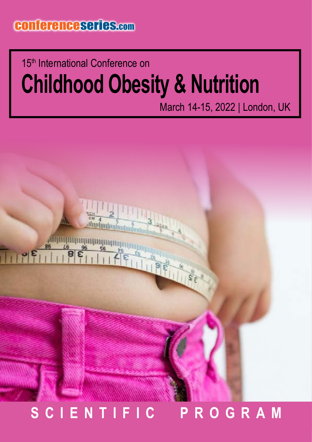## **Childhood Obesity & Nutrition** 15<sup>th</sup> International Conference on

March 14-15, 2022 | London, UK

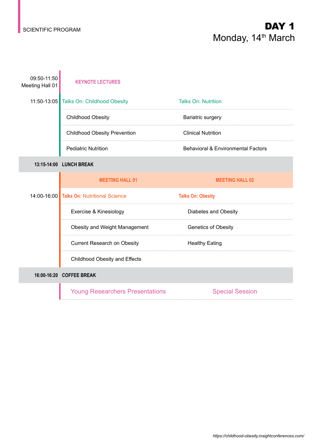T

### SCIENTIFIC PROGRAM **DAY 1** Monday, 14<sup>th</sup> March

| 09:50-11:50<br>Meeting Hall 01 | <b>KEYNOTE LECTURES</b>                   |                                               |
|--------------------------------|-------------------------------------------|-----------------------------------------------|
|                                | 11:50-13:05 Talks On: Childhood Obesity   | <b>Talks On: Nutrition</b>                    |
|                                | <b>Childhood Obesity</b>                  | Bariatric surgery                             |
|                                | <b>Childhood Obesity Prevention</b>       | <b>Clinical Nutrition</b>                     |
|                                | <b>Pediatric Nutrition</b>                | <b>Behavioral &amp; Environmental Factors</b> |
|                                | 13:15-14:00 LUNCH BREAK                   |                                               |
|                                | <b>MEETING HALL 01</b>                    | <b>MEETING HALL 02</b>                        |
|                                | 14:00-16:00 Talks On: Nutritional Science | <b>Talks On: Obesity</b>                      |
|                                | Exercise & Kinesiology                    | Diabetes and Obesity                          |
|                                | Obesity and Weight Management             | Genetics of Obesity                           |
|                                | <b>Current Research on Obesity</b>        | <b>Healthy Eating</b>                         |
|                                | <b>Childhood Obesity and Effects</b>      |                                               |
|                                | 16:00-16:20 COFFEE BREAK                  |                                               |
|                                | <b>Young Researchers Presentations</b>    | <b>Special Session</b>                        |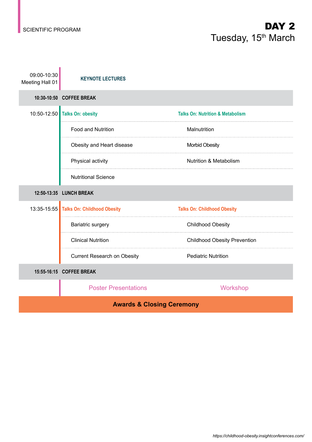#### SCIENTIFIC PROGRAM **DAY 2** Tuesday, 15<sup>th</sup> March

| 09:00-10:30<br>Meeting Hall 01       | <b>KEYNOTE LECTURES</b>                 |                                             |  |
|--------------------------------------|-----------------------------------------|---------------------------------------------|--|
|                                      | 10:30-10:50 COFFEE BREAK                |                                             |  |
|                                      | 10:50-12:50 Talks On: obesity           | <b>Talks On: Nutrition &amp; Metabolism</b> |  |
|                                      | <b>Food and Nutrition</b>               | Malnutrition                                |  |
|                                      | Obesity and Heart disease               | <b>Morbid Obesity</b>                       |  |
|                                      | Physical activity                       | <b>Nutrition &amp; Metabolism</b>           |  |
|                                      | <b>Nutritional Science</b>              |                                             |  |
| 12:50-13:35 LUNCH BREAK              |                                         |                                             |  |
|                                      | 13:35-15:55 Talks On: Childhood Obesity | <b>Talks On: Childhood Obesity</b>          |  |
|                                      | Bariatric surgery                       | <b>Childhood Obesity</b>                    |  |
|                                      | <b>Clinical Nutrition</b>               | <b>Childhood Obesity Prevention</b>         |  |
|                                      | <b>Current Research on Obesity</b>      | <b>Pediatric Nutrition</b>                  |  |
|                                      | 15:55-16:15 COFFEE BREAK                |                                             |  |
|                                      | <b>Poster Presentations</b>             | Workshop                                    |  |
| <b>Awards &amp; Closing Ceremony</b> |                                         |                                             |  |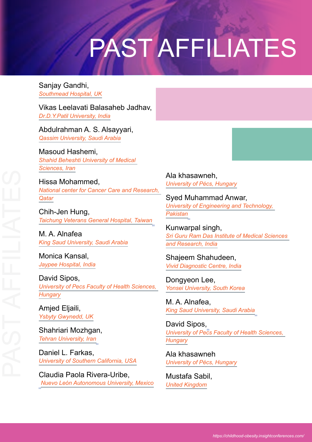# PAST AFFILIATES

Sanjay Gandhi, *Southmead Hospital, UK*

Vikas Leelavati Balasaheb Jadhav, *Dr.D.Y.Patil University, India*

Abdulrahman A. S. Alsayyari, *Qassim University, Saudi Arabia*

Masoud Hashemi, *Shahid Beheshti University of Medical Sciences, Iran*

Hissa Mohammed, *National center for Cancer Care and Research, Qatar*

Chih-Jen Hung, *Taichung Veterans General Hospital, Taiwan*

M. A. Alnafea *King Saud University, Saudi Arabia*

Monica Kansal, *Jaypee Hospital, India*

David Sipos, *University of Pecs Faculty of Health Sciences, Hungary*

Amjed Eljaili, *Ysbyty Gwynedd, UK*

Shahriari Mozhgan, *Tehran University, Iran*

Daniel L. Farkas, *University of Southern California, USA*

Claudia Paola Rivera-Uribe, *Nuevo León Autonomous University, Mexico* Ala khasawneh, *University of Pécs, Hungary*

Syed Muhammad Anwar, *University of Engineering and Technology, Pakistan*

Kunwarpal singh, *Sri Guru Ram Das Institute of Medical Sciences and Research, India*

Shajeem Shahudeen, *Vivid Diagnostic Centre, India*

Dongyeon Lee, *Yonsei University, South Korea*

M. A. Alnafea, *King Saud University, Saudi Arabia*

David Sipos, *University of Pecs Faculty of Health Sciences, Hungary*

Ala khasawneh *University of Pécs, Hungary*

Mustafa Sabil, *United Kingdom*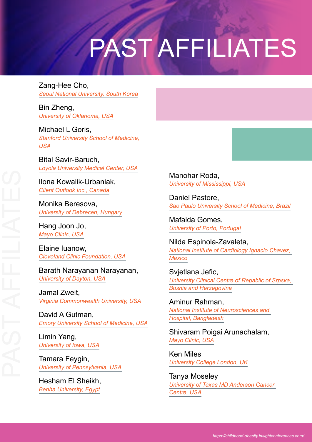# PAST AFFILIATES

Zang-Hee Cho, *Seoul National University, South Korea*

Bin Zheng, *University of Oklahoma, USA*

Michael L Goris, *Stanford University School of Medicine, USA*

Bital Savir-Baruch, *Loyola University Medical Center, USA*

Ilona Kowalik-Urbaniak, *Client Outlook Inc., Canada*

Monika Beresova, *University of Debrecen, Hungary*

Hang Joon Jo, *Mayo Clinic, USA*

Elaine Iuanow, *Cleveland Clinic Foundation, USA*

Barath Narayanan Narayanan, *University of Dayton, USA*

Jamal Zweit, *Virginia Commonwealth University, USA*

David A Gutman, *Emory University School of Medicine, USA*

Limin Yang, *University of Iowa, USA*

Tamara Feygin, *University of Pennsylvania, USA*

Hesham El Sheikh, *Benha University, Egypt*

Manohar Roda, *University of Mississippi, USA*

Daniel Pastore, *Sao Paulo University School of Medicine, Brazil*

Mafalda Gomes, *University of Porto, Portugal*

Nilda Espinola-Zavaleta, *National Institute of Cardiology Ignacio Chavez, Mexico*

Svjetlana Jefic, *University Clinical Centre of Repablic of Srpska, Bosnia and Herzegovina*

Aminur Rahman, *National Institute of Neurosciences and Hospital, Bangladesh*

Shivaram Poigai Arunachalam, *Mayo Clinic, USA*

Ken Miles *University College London, UK*

Tanya Moseley *University of Texas MD Anderson Cancer Centre, USA*